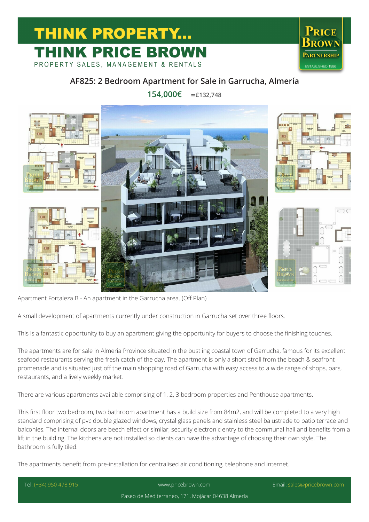## **THINK PROPERTY...** THINK PRICE BROWN

PROPERTY SALES, MANAGEMENT & RENTALS



## **AF825: 2 Bedroom Apartment for Sale in Garrucha, Almería**

**154,000€ ≃£132,748**



Apartment Fortaleza B - An apartment in the Garrucha area. (Off Plan)

A small development of apartments currently under construction in Garrucha set over three floors.

This is a fantastic opportunity to buy an apartment giving the opportunity for buyers to choose the finishing touches.

The apartments are for sale in Almeria Province situated in the bustling coastal town of Garrucha, famous for its excellent seafood restaurants serving the fresh catch of the day. The apartment is only a short stroll from the beach & seafront promenade and is situated just off the main shopping road of Garrucha with easy access to a wide range of shops, bars, restaurants, and a lively weekly market.

There are various apartments available comprising of 1, 2, 3 bedroom properties and Penthouse apartments.

This first floor two bedroom, two bathroom apartment has a build size from 84m2, and will be completed to a very high standard comprising of pvc double glazed windows, crystal glass panels and stainless steel balustrade to patio terrace and balconies. The internal doors are beech effect or similar, security electronic entry to the communal hall and benefits from a lift in the building. The kitchens are not installed so clients can have the advantage of choosing their own style. The bathroom is fully tiled.

The apartments benefit from pre-installation for centralised air conditioning, telephone and internet.

| Tel: (+34) 950 478 915 | www.pricebrown.com                                | Email: sales@pricebrown.com |
|------------------------|---------------------------------------------------|-----------------------------|
|                        | Paseo de Mediterraneo, 171, Mojácar 04638 Almería |                             |